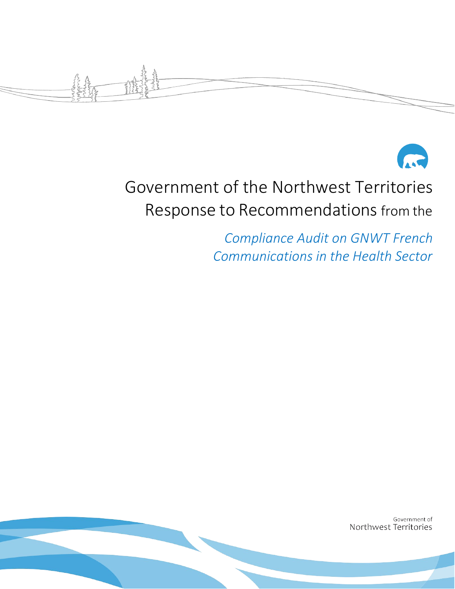



# Government of the Northwest Territories Response to Recommendations from the

*Compliance Audit on GNWT French Communications in the Health Sector*

> Government of Northwest Territories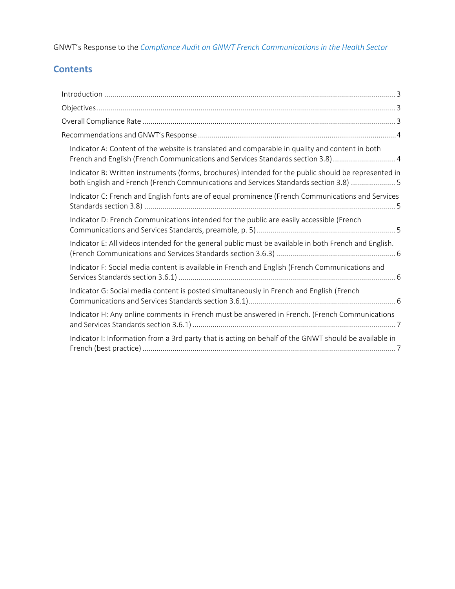GNWT's Response to the *Compliance Audit on GNWT French Communications in the Health Sector*

## **Contents**

| Indicator A: Content of the website is translated and comparable in quality and content in both<br>French and English (French Communications and Services Standards section 3.8) 4            |
|-----------------------------------------------------------------------------------------------------------------------------------------------------------------------------------------------|
| Indicator B: Written instruments (forms, brochures) intended for the public should be represented in<br>both English and French (French Communications and Services Standards section 3.8)  5 |
| Indicator C: French and English fonts are of equal prominence (French Communications and Services                                                                                             |
| Indicator D: French Communications intended for the public are easily accessible (French                                                                                                      |
| Indicator E: All videos intended for the general public must be available in both French and English.                                                                                         |
| Indicator F: Social media content is available in French and English (French Communications and                                                                                               |
| Indicator G: Social media content is posted simultaneously in French and English (French                                                                                                      |
| Indicator H: Any online comments in French must be answered in French. (French Communications                                                                                                 |
| Indicator I: Information from a 3rd party that is acting on behalf of the GNWT should be available in                                                                                         |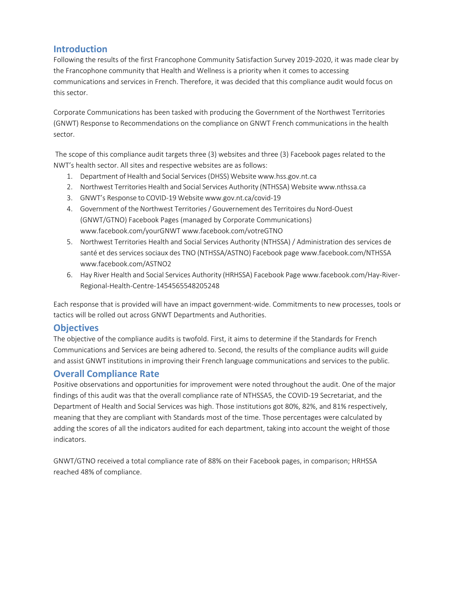#### <span id="page-2-0"></span>**Introduction**

Following the results of the first Francophone Community Satisfaction Survey 2019-2020, it was made clear by the Francophone community that Health and Wellness is a priority when it comes to accessing communications and services in French. Therefore, it was decided that this compliance audit would focus on this sector.

Corporate Communications has been tasked with producing the Government of the Northwest Territories (GNWT) Response to Recommendations on the compliance on GNWT French communications in the health sector.

The scope of this compliance audit targets three (3) websites and three (3) Facebook pages related to the NWT's health sector. All sites and respective websites are as follows:

- 1. Department of Health and Social Services (DHSS) Website www.hss.gov.nt.ca
- 2. Northwest Territories Health and Social Services Authority (NTHSSA) Website [www.nthssa.ca](http://www.nthssa.ca/)
- 3. GNWT's Response to COVID-19 Website [www.gov.nt.ca/covid-19](http://www.gov.nt.ca/covid-19)
- 4. Government of the Northwest Territories/ Gouvernement des Territoires du Nord-Ouest (GNWT/GTNO) Facebook Pages (managed by Corporate Communications) [www.facebook.com/yourGNWT www.facebook.com/votreGTNO](http://www.facebook.com/yourGNWT)
- 5. Northwest Territories Health and Social Services Authority (NTHSSA) / Administration des services de santé et des services sociaux des TNO (NTHSSA/ASTNO) Facebook page [www.facebook.com/NTHSSA](http://www.facebook.com/NTHSSA) [www.facebook.com/ASTNO2](http://www.facebook.com/ASTNO2)
- 6. Hay River Health and Social Services Authority (HRHSSA) Facebook Page [www.facebook.com/Hay-River-](http://www.facebook.com/Hay-River-)Regional-Health-Centre-1454565548205248

Each response that is provided will have an impact government-wide. Commitments to new processes, tools or tactics will be rolled out across GNWT Departments and Authorities.

#### <span id="page-2-1"></span>**Objectives**

The objective of the compliance audits is twofold. First, it aims to determine if the Standards for French Communications and Services are being adhered to. Second, the results of the compliance audits will guide and assist GNWT institutions in improving their French language communications and services to the public.

### <span id="page-2-2"></span>**Overall Compliance Rate**

Positive observations and opportunities for improvement were noted throughout the audit. One of the major findings of this audit was that the overall compliance rate of NTHSSA5, the COVID-19 Secretariat, and the Department of Health and Social Services was high. Those institutions got 80%, 82%, and 81% respectively, meaning that they are compliant with Standards most of the time. Those percentages were calculated by adding the scores of all the indicators audited for each department, taking into account the weight of those indicators.

GNWT/GTNO received a total compliance rate of 88% on their Facebook pages, in comparison; HRHSSA reached 48% of compliance.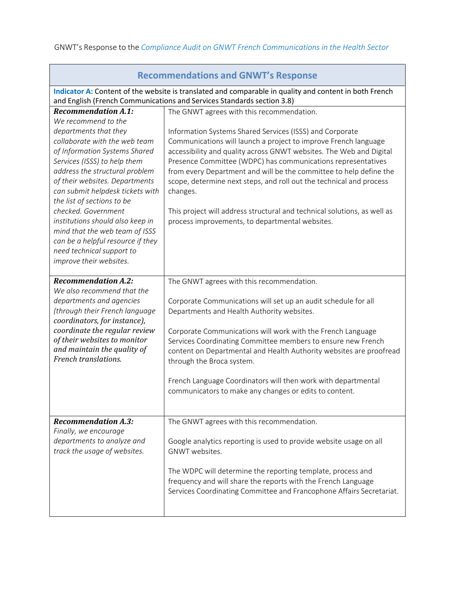<span id="page-3-1"></span><span id="page-3-0"></span>

| <b>Recommendations and GNWT's Response</b>                                                                                                                                                                                                                                                                                                                                                                                                                                        |                                                                                                                                                                                                                                                                                                                                                                                                                                                                                                                                                                                                         |  |
|-----------------------------------------------------------------------------------------------------------------------------------------------------------------------------------------------------------------------------------------------------------------------------------------------------------------------------------------------------------------------------------------------------------------------------------------------------------------------------------|---------------------------------------------------------------------------------------------------------------------------------------------------------------------------------------------------------------------------------------------------------------------------------------------------------------------------------------------------------------------------------------------------------------------------------------------------------------------------------------------------------------------------------------------------------------------------------------------------------|--|
| Indicator A: Content of the website is translated and comparable in quality and content in both French<br>and English (French Communications and Services Standards section 3.8)                                                                                                                                                                                                                                                                                                  |                                                                                                                                                                                                                                                                                                                                                                                                                                                                                                                                                                                                         |  |
| <b>Recommendation A.1:</b><br>We recommend to the<br>departments that they<br>collaborate with the web team<br>of Information Systems Shared<br>Services (ISSS) to help them<br>address the structural problem<br>of their websites. Departments<br>can submit helpdesk tickets with<br>the list of sections to be<br>checked. Government<br>institutions should also keep in<br>mind that the web team of ISSS<br>can be a helpful resource if they<br>need technical support to | The GNWT agrees with this recommendation.<br>Information Systems Shared Services (ISSS) and Corporate<br>Communications will launch a project to improve French language<br>accessibility and quality across GNWT websites. The Web and Digital<br>Presence Committee (WDPC) has communications representatives<br>from every Department and will be the committee to help define the<br>scope, determine next steps, and roll out the technical and process<br>changes.<br>This project will address structural and technical solutions, as well as<br>process improvements, to departmental websites. |  |
| improve their websites.                                                                                                                                                                                                                                                                                                                                                                                                                                                           |                                                                                                                                                                                                                                                                                                                                                                                                                                                                                                                                                                                                         |  |
| <b>Recommendation A.2:</b><br>We also recommend that the<br>departments and agencies<br>(through their French language<br>coordinators, for instance),<br>coordinate the regular review<br>of their websites to monitor<br>and maintain the quality of<br>French translations.                                                                                                                                                                                                    | The GNWT agrees with this recommendation.<br>Corporate Communications will set up an audit schedule for all<br>Departments and Health Authority websites.<br>Corporate Communications will work with the French Language<br>Services Coordinating Committee members to ensure new French<br>content on Departmental and Health Authority websites are proofread<br>through the Broca system.<br>French Language Coordinators will then work with departmental<br>communicators to make any changes or edits to content.                                                                                 |  |
| <b>Recommendation A.3:</b><br>Finally, we encourage<br>departments to analyze and<br>track the usage of websites.                                                                                                                                                                                                                                                                                                                                                                 | The GNWT agrees with this recommendation.<br>Google analytics reporting is used to provide website usage on all<br>GNWT websites.<br>The WDPC will determine the reporting template, process and<br>frequency and will share the reports with the French Language<br>Services Coordinating Committee and Francophone Affairs Secretariat.                                                                                                                                                                                                                                                               |  |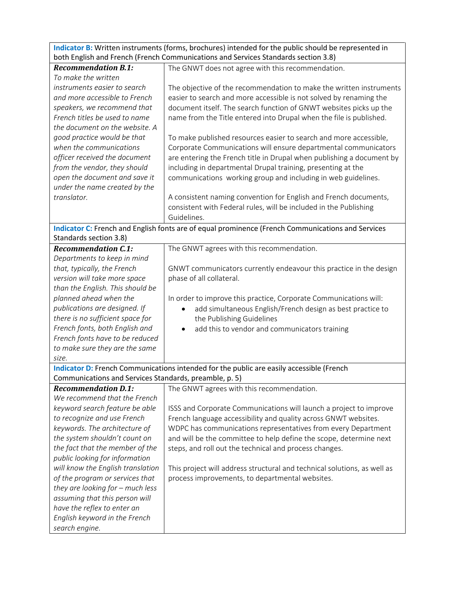<span id="page-4-0"></span>**Indicator B:** Written instruments (forms, brochures) intended for the public should be represented in both English and French (French Communications and Services Standards section 3.8)

<span id="page-4-2"></span><span id="page-4-1"></span>

|                                                        | poth English and French (French Communications and Services Standards Section 3.8)                |
|--------------------------------------------------------|---------------------------------------------------------------------------------------------------|
| <b>Recommendation B.1:</b>                             | The GNWT does not agree with this recommendation.                                                 |
| To make the written                                    |                                                                                                   |
| instruments easier to search                           | The objective of the recommendation to make the written instruments                               |
| and more accessible to French                          | easier to search and more accessible is not solved by renaming the                                |
| speakers, we recommend that                            | document itself. The search function of GNWT websites picks up the                                |
| French titles be used to name                          | name from the Title entered into Drupal when the file is published.                               |
| the document on the website. A                         |                                                                                                   |
| good practice would be that                            | To make published resources easier to search and more accessible,                                 |
| when the communications                                | Corporate Communications will ensure departmental communicators                                   |
| officer received the document                          | are entering the French title in Drupal when publishing a document by                             |
| from the vendor, they should                           | including in departmental Drupal training, presenting at the                                      |
| open the document and save it                          | communications working group and including in web guidelines.                                     |
| under the name created by the                          |                                                                                                   |
| translator.                                            | A consistent naming convention for English and French documents,                                  |
|                                                        | consistent with Federal rules, will be included in the Publishing                                 |
|                                                        | Guidelines.                                                                                       |
|                                                        | Indicator C: French and English fonts are of equal prominence (French Communications and Services |
| Standards section 3.8)                                 |                                                                                                   |
| <b>Recommendation C.1:</b>                             | The GNWT agrees with this recommendation.                                                         |
| Departments to keep in mind                            |                                                                                                   |
| that, typically, the French                            | GNWT communicators currently endeavour this practice in the design                                |
| version will take more space                           | phase of all collateral.                                                                          |
| than the English. This should be                       |                                                                                                   |
| planned ahead when the                                 | In order to improve this practice, Corporate Communications will:                                 |
| publications are designed. If                          | add simultaneous English/French design as best practice to                                        |
| there is no sufficient space for                       | the Publishing Guidelines                                                                         |
| French fonts, both English and                         | add this to vendor and communicators training<br>٠                                                |
| French fonts have to be reduced                        |                                                                                                   |
| to make sure they are the same                         |                                                                                                   |
| size.                                                  |                                                                                                   |
|                                                        | Indicator D: French Communications intended for the public are easily accessible (French          |
| Communications and Services Standards, preamble, p. 5) |                                                                                                   |
| <b>Recommendation D.1:</b>                             | The GNWT agrees with this recommendation.                                                         |
| We recommend that the French                           |                                                                                                   |
| keyword search feature be able                         | ISSS and Corporate Communications will launch a project to improve                                |
| to recognize and use French                            | French language accessibility and quality across GNWT websites.                                   |
| keywords. The architecture of                          | WDPC has communications representatives from every Department                                     |
| the system shouldn't count on                          | and will be the committee to help define the scope, determine next                                |
| the fact that the member of the                        | steps, and roll out the technical and process changes.                                            |
| public looking for information                         |                                                                                                   |
| will know the English translation                      | This project will address structural and technical solutions, as well as                          |
| of the program or services that                        | process improvements, to departmental websites.                                                   |
| they are looking for $-$ much less                     |                                                                                                   |
| assuming that this person will                         |                                                                                                   |
| have the reflex to enter an                            |                                                                                                   |
| English keyword in the French                          |                                                                                                   |
| search engine.                                         |                                                                                                   |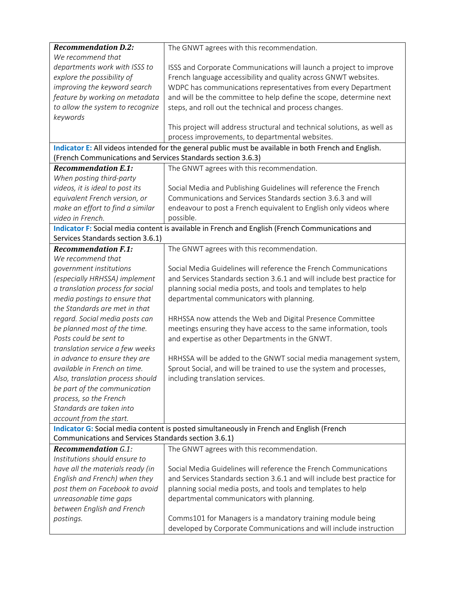<span id="page-5-2"></span><span id="page-5-1"></span><span id="page-5-0"></span>

| <b>Recommendation D.2:</b>                                   | The GNWT agrees with this recommendation.                                                             |
|--------------------------------------------------------------|-------------------------------------------------------------------------------------------------------|
| We recommend that                                            |                                                                                                       |
| departments work with ISSS to                                | ISSS and Corporate Communications will launch a project to improve                                    |
| explore the possibility of                                   | French language accessibility and quality across GNWT websites.                                       |
| improving the keyword search                                 | WDPC has communications representatives from every Department                                         |
| feature by working on metadata                               | and will be the committee to help define the scope, determine next                                    |
| to allow the system to recognize                             | steps, and roll out the technical and process changes.                                                |
| keywords                                                     |                                                                                                       |
|                                                              | This project will address structural and technical solutions, as well as                              |
|                                                              | process improvements, to departmental websites.                                                       |
|                                                              | Indicator E: All videos intended for the general public must be available in both French and English. |
| (French Communications and Services Standards section 3.6.3) |                                                                                                       |
| <b>Recommendation E.1:</b>                                   | The GNWT agrees with this recommendation.                                                             |
| When posting third-party                                     |                                                                                                       |
| videos, it is ideal to post its                              | Social Media and Publishing Guidelines will reference the French                                      |
| equivalent French version, or                                | Communications and Services Standards section 3.6.3 and will                                          |
| make an effort to find a similar                             | endeavour to post a French equivalent to English only videos where                                    |
| video in French.                                             | possible.                                                                                             |
|                                                              | Indicator F: Social media content is available in French and English (French Communications and       |
| Services Standards section 3.6.1)                            |                                                                                                       |
| <b>Recommendation F.1:</b>                                   | The GNWT agrees with this recommendation.                                                             |
| We recommend that                                            |                                                                                                       |
| government institutions                                      | Social Media Guidelines will reference the French Communications                                      |
| (especially HRHSSA) implement                                | and Services Standards section 3.6.1 and will include best practice for                               |
| a translation process for social                             | planning social media posts, and tools and templates to help                                          |
| media postings to ensure that                                | departmental communicators with planning.                                                             |
| the Standards are met in that                                |                                                                                                       |
| regard. Social media posts can                               | HRHSSA now attends the Web and Digital Presence Committee                                             |
| be planned most of the time.                                 | meetings ensuring they have access to the same information, tools                                     |
| Posts could be sent to                                       | and expertise as other Departments in the GNWT.                                                       |
| translation service a few weeks                              |                                                                                                       |
| in advance to ensure they are                                | HRHSSA will be added to the GNWT social media management system,                                      |
| available in French on time.                                 | Sprout Social, and will be trained to use the system and processes,                                   |
| Also, translation process should                             | including translation services.                                                                       |
| be part of the communication                                 |                                                                                                       |
| process, so the French                                       |                                                                                                       |
| Standards are taken into                                     |                                                                                                       |
| account from the start.                                      |                                                                                                       |
|                                                              | Indicator G: Social media content is posted simultaneously in French and English (French              |
| Communications and Services Standards section 3.6.1)         |                                                                                                       |
| <b>Recommendation G.1:</b>                                   | The GNWT agrees with this recommendation.                                                             |
| Institutions should ensure to                                |                                                                                                       |
| have all the materials ready (in                             | Social Media Guidelines will reference the French Communications                                      |
| English and French) when they                                | and Services Standards section 3.6.1 and will include best practice for                               |
| post them on Facebook to avoid                               | planning social media posts, and tools and templates to help                                          |
| unreasonable time gaps                                       | departmental communicators with planning.                                                             |
| between English and French                                   |                                                                                                       |
| postings.                                                    | Comms101 for Managers is a mandatory training module being                                            |
|                                                              | developed by Corporate Communications and will include instruction                                    |